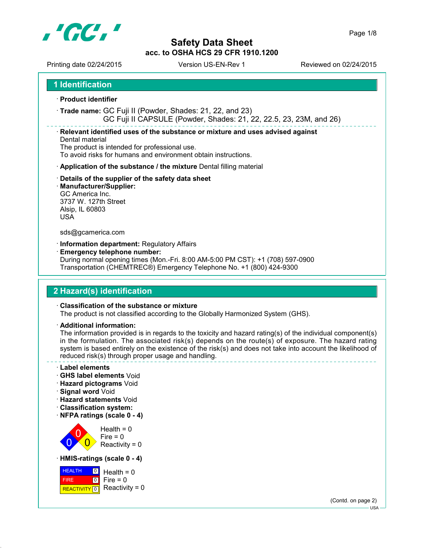

Printing date 02/24/2015 Version US-EN-Rev 1 Reviewed on 02/24/2015

**1 Identification**

**Product identifier**

 **Trade name:** GC Fuji II (Powder, Shades: 21, 22, and 23) GC Fuji II CAPSULE (Powder, Shades: 21, 22, 22.5, 23, 23M, and 26)

**Relevant identified uses of the substance or mixture and uses advised against**

#### Dental material The product is intended for professional use.

To avoid risks for humans and environment obtain instructions.

- **Application of the substance / the mixture** Dental filling material
- **Details of the supplier of the safety data sheet**
- **Manufacturer/Supplier:** GC America Inc. 3737 W. 127th Street Alsip, IL 60803 USA

#### sds@gcamerica.com

- **Information department:** Regulatory Affairs
- **Emergency telephone number:** During normal opening times (Mon.-Fri. 8:00 AM-5:00 PM CST): +1 (708) 597-0900 Transportation (CHEMTREC®) Emergency Telephone No. +1 (800) 424-9300

## **2 Hazard(s) identification**

#### **Classification of the substance or mixture**

The product is not classified according to the Globally Harmonized System (GHS).

**Additional information:**

The information provided is in regards to the toxicity and hazard rating(s) of the individual component(s) in the formulation. The associated risk(s) depends on the route(s) of exposure. The hazard rating system is based entirely on the existence of the risk(s) and does not take into account the likelihood of reduced risk(s) through proper usage and handling.

- **Label elements**
- **GHS label elements** Void
- **Hazard pictograms** Void
- **Signal word** Void
- **Hazard statements** Void
- **Classification system:**
- **NFPA ratings (scale 0 4)**

 $\overline{0}$ 0  $\overline{\mathbf{0}}$  $Health = 0$  $Fire = 0$ Reactivity =  $0$ 

**HMIS-ratings (scale 0 - 4)**



(Contd. on page 2) USA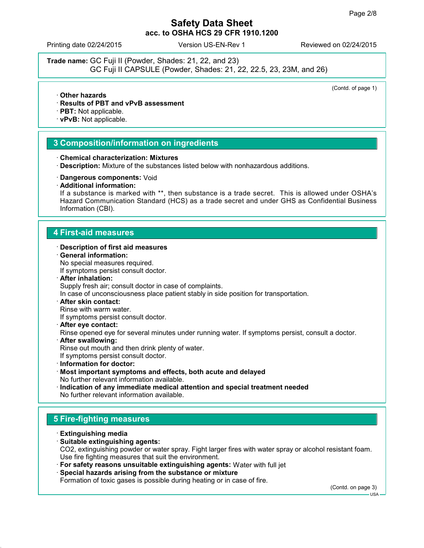Printing date 02/24/2015 Version US-EN-Rev 1 Reviewed on 02/24/2015

**Trade name:** GC Fuji II (Powder, Shades: 21, 22, and 23) GC Fuji II CAPSULE (Powder, Shades: 21, 22, 22.5, 23, 23M, and 26)

(Contd. of page 1)

- **Other hazards**
- **Results of PBT and vPvB assessment**
- **PBT:** Not applicable.
- **vPvB:** Not applicable.

#### **3 Composition/information on ingredients**

- **Chemical characterization: Mixtures**
- **Description:** Mixture of the substances listed below with nonhazardous additions.
- **Dangerous components:** Void
- **Additional information:**

If a substance is marked with \*\*, then substance is a trade secret. This is allowed under OSHA's Hazard Communication Standard (HCS) as a trade secret and under GHS as Confidential Business Information (CBI).

#### **4 First-aid measures**

#### **Description of first aid measures**

- **General information:** No special measures required. If symptoms persist consult doctor.
- **After inhalation:** Supply fresh air; consult doctor in case of complaints. In case of unconsciousness place patient stably in side position for transportation.
- **After skin contact:** Rinse with warm water.

If symptoms persist consult doctor.

- **After eye contact:** Rinse opened eye for several minutes under running water. If symptoms persist, consult a doctor.
- **After swallowing:** Rinse out mouth and then drink plenty of water.
	- If symptoms persist consult doctor.
- **Information for doctor:**
- **Most important symptoms and effects, both acute and delayed** No further relevant information available.
- **Indication of any immediate medical attention and special treatment needed** No further relevant information available.

#### **5 Fire-fighting measures**

- **Extinguishing media**
- **Suitable extinguishing agents:**

CO2, extinguishing powder or water spray. Fight larger fires with water spray or alcohol resistant foam. Use fire fighting measures that suit the environment.

- **For safety reasons unsuitable extinguishing agents:** Water with full jet
- **Special hazards arising from the substance or mixture**

Formation of toxic gases is possible during heating or in case of fire.

(Contd. on page 3)

 $-11S\Delta$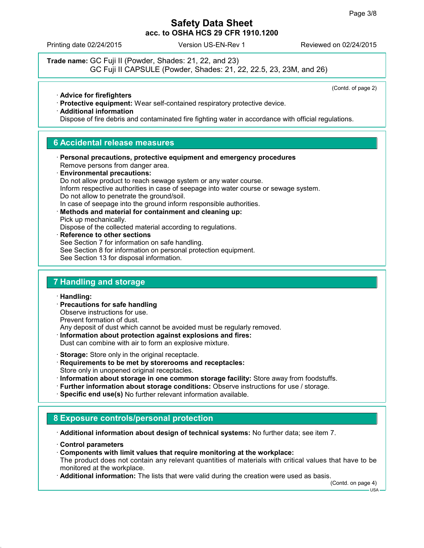Printing date 02/24/2015 Version US-EN-Rev 1 Reviewed on 02/24/2015

**Trade name:** GC Fuji II (Powder, Shades: 21, 22, and 23) GC Fuji II CAPSULE (Powder, Shades: 21, 22, 22.5, 23, 23M, and 26)

(Contd. of page 2)

**Advice for firefighters**

- **Protective equipment:** Wear self-contained respiratory protective device.
- **Additional information**

Dispose of fire debris and contaminated fire fighting water in accordance with official regulations.

#### **6 Accidental release measures**

 **Personal precautions, protective equipment and emergency procedures** Remove persons from danger area. **Environmental precautions:** Do not allow product to reach sewage system or any water course. Inform respective authorities in case of seepage into water course or sewage system.

Do not allow to penetrate the ground/soil.

In case of seepage into the ground inform responsible authorities. **Methods and material for containment and cleaning up:**

Pick up mechanically.

Dispose of the collected material according to regulations.

 **Reference to other sections** See Section 7 for information on safe handling. See Section 8 for information on personal protection equipment. See Section 13 for disposal information.

### **7 Handling and storage**

**Handling:**

 **Precautions for safe handling** Observe instructions for use. Prevent formation of dust. Any deposit of dust which cannot be avoided must be regularly removed.

 **Information about protection against explosions and fires:** Dust can combine with air to form an explosive mixture.

**Storage:** Store only in the original receptacle.

- **Requirements to be met by storerooms and receptacles:** Store only in unopened original receptacles.
- **Information about storage in one common storage facility:** Store away from foodstuffs.
- **Further information about storage conditions:** Observe instructions for use / storage.
- **Specific end use(s)** No further relevant information available.

## **8 Exposure controls/personal protection**

**Additional information about design of technical systems:** No further data; see item 7.

- **Control parameters**
- **Components with limit values that require monitoring at the workplace:**

The product does not contain any relevant quantities of materials with critical values that have to be monitored at the workplace.

**Additional information:** The lists that were valid during the creation were used as basis.

(Contd. on page 4)

USA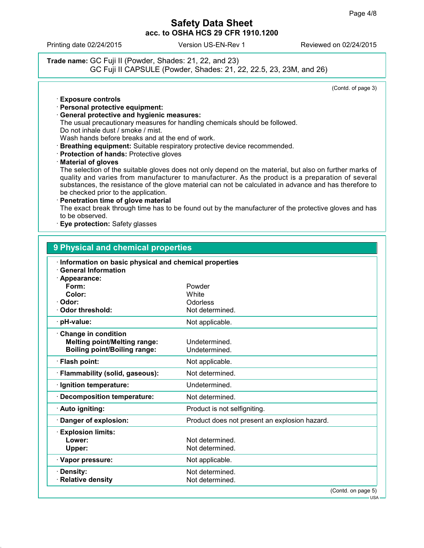Printing date 02/24/2015 Version US-EN-Rev 1 Reviewed on 02/24/2015

**Trade name:** GC Fuji II (Powder, Shades: 21, 22, and 23) GC Fuji II CAPSULE (Powder, Shades: 21, 22, 22.5, 23, 23M, and 26)

(Contd. of page 3)

- **Exposure controls**
- **Personal protective equipment:**
- **General protective and hygienic measures:** The usual precautionary measures for handling chemicals should be followed. Do not inhale dust / smoke / mist. Wash hands before breaks and at the end of work.
- **Breathing equipment:** Suitable respiratory protective device recommended.
- **Protection of hands:** Protective gloves
- **Material of gloves**

The selection of the suitable gloves does not only depend on the material, but also on further marks of quality and varies from manufacturer to manufacturer. As the product is a preparation of several substances, the resistance of the glove material can not be calculated in advance and has therefore to be checked prior to the application.

 **Penetration time of glove material** The exact break through time has to be found out by the manufacturer of the protective gloves and has

to be observed.

**Eye protection:** Safety glasses

| 9 Physical and chemical properties                                                                       |                                               |  |  |  |
|----------------------------------------------------------------------------------------------------------|-----------------------------------------------|--|--|--|
| Information on basic physical and chemical properties<br><b>General Information</b><br>Appearance:       |                                               |  |  |  |
| Form:<br>Color:<br>Odor:                                                                                 | Powder<br>White<br>Odorless                   |  |  |  |
| Odor threshold:                                                                                          | Not determined.                               |  |  |  |
| pH-value:                                                                                                | Not applicable.                               |  |  |  |
| <b>Change in condition</b><br><b>Melting point/Melting range:</b><br><b>Boiling point/Boiling range:</b> | Undetermined.<br>Undetermined.                |  |  |  |
| · Flash point:                                                                                           | Not applicable.                               |  |  |  |
| · Flammability (solid, gaseous):                                                                         | Not determined.                               |  |  |  |
| · Ignition temperature:                                                                                  | Undetermined.                                 |  |  |  |
| <b>Decomposition temperature:</b>                                                                        | Not determined.                               |  |  |  |
| · Auto igniting:                                                                                         | Product is not selfigniting.                  |  |  |  |
| Danger of explosion:                                                                                     | Product does not present an explosion hazard. |  |  |  |
| <b>Explosion limits:</b><br>Lower:<br>Upper:                                                             | Not determined.<br>Not determined.            |  |  |  |
| · Vapor pressure:                                                                                        | Not applicable.                               |  |  |  |
| Density:<br>· Relative density                                                                           | Not determined.<br>Not determined.            |  |  |  |
|                                                                                                          | (Contd. on page 5)                            |  |  |  |

USA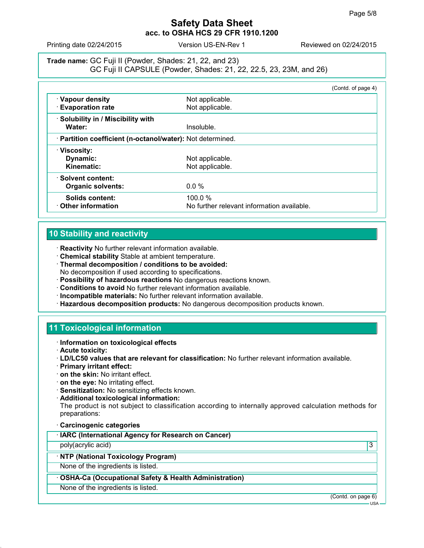Printing date 02/24/2015 Version US-EN-Rev 1 Reviewed on 02/24/2015

**Trade name:** GC Fuji II (Powder, Shades: 21, 22, and 23) GC Fuji II CAPSULE (Powder, Shades: 21, 22, 22.5, 23, 23M, and 26)

|                                                            | (Contd. of page 4)                         |  |
|------------------------------------------------------------|--------------------------------------------|--|
| · Vapour density                                           | Not applicable.                            |  |
| <b>Evaporation rate</b>                                    | Not applicable.                            |  |
| Solubility in / Miscibility with                           |                                            |  |
| Water:                                                     | Insoluble.                                 |  |
| · Partition coefficient (n-octanol/water): Not determined. |                                            |  |
| · Viscosity:                                               |                                            |  |
| Dynamic:                                                   | Not applicable.                            |  |
| Kinematic:                                                 | Not applicable.                            |  |
| ⋅ Solvent content:                                         |                                            |  |
| <b>Organic solvents:</b>                                   | $0.0\%$                                    |  |
| Solids content:                                            | 100.0%                                     |  |
| Other information                                          | No further relevant information available. |  |

#### **10 Stability and reactivity**

- **Reactivity** No further relevant information available.
- **Chemical stability** Stable at ambient temperature.
- **Thermal decomposition / conditions to be avoided:** No decomposition if used according to specifications.
- **Possibility of hazardous reactions** No dangerous reactions known.
- **Conditions to avoid** No further relevant information available.
- **Incompatible materials:** No further relevant information available.
- **Hazardous decomposition products:** No dangerous decomposition products known.

## **11 Toxicological information**

- **Information on toxicological effects**
- **Acute toxicity:**
- **LD/LC50 values that are relevant for classification:** No further relevant information available.
- **Primary irritant effect:**
- **on the skin:** No irritant effect.
- **on the eye:** No irritating effect.
- **Sensitization:** No sensitizing effects known.
- **Additional toxicological information:**

The product is not subject to classification according to internally approved calculation methods for preparations:

**Carcinogenic categories**

poly(acrylic acid) 3

#### **NTP (National Toxicology Program)**

None of the ingredients is listed.

- **OSHA-Ca (Occupational Safety & Health Administration)**
- None of the ingredients is listed.

(Contd. on page 6)

 $-11S_A$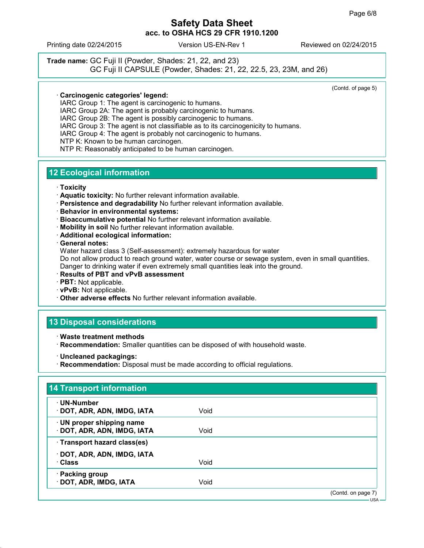Printing date 02/24/2015 Version US-EN-Rev 1 Reviewed on 02/24/2015

**Trade name:** GC Fuji II (Powder, Shades: 21, 22, and 23) GC Fuji II CAPSULE (Powder, Shades: 21, 22, 22.5, 23, 23M, and 26)

(Contd. of page 5)

#### **Carcinogenic categories' legend:**

IARC Group 1: The agent is carcinogenic to humans.

IARC Group 2A: The agent is probably carcinogenic to humans. IARC Group 2B: The agent is possibly carcinogenic to humans.

IARC Group 3: The agent is not classifiable as to its carcinogenicity to humans.

IARC Group 4: The agent is probably not carcinogenic to humans.

NTP K: Known to be human carcinogen.

NTP R: Reasonably anticipated to be human carcinogen.

## **12 Ecological information**

- **Toxicity**
- **Aquatic toxicity:** No further relevant information available.
- **Persistence and degradability** No further relevant information available.
- **Behavior in environmental systems:**
- **Bioaccumulative potential** No further relevant information available.
- **Mobility in soil** No further relevant information available.
- **Additional ecological information:**

**General notes:**

Water hazard class 3 (Self-assessment): extremely hazardous for water

Do not allow product to reach ground water, water course or sewage system, even in small quantities. Danger to drinking water if even extremely small quantities leak into the ground.

- **Results of PBT and vPvB assessment**
- **PBT:** Not applicable.
- **vPvB:** Not applicable.
- **Other adverse effects** No further relevant information available.

# **13 Disposal considerations**

- **Waste treatment methods**
- **Recommendation:** Smaller quantities can be disposed of with household waste.
- **Uncleaned packagings:**
- **Recommendation:** Disposal must be made according to official regulations.

| · UN-Number                  |      |  |
|------------------------------|------|--|
| · DOT, ADR, ADN, IMDG, IATA  | Void |  |
| · UN proper shipping name    |      |  |
| · DOT, ADR, ADN, IMDG, IATA  | Void |  |
| · Transport hazard class(es) |      |  |
| · DOT, ADR, ADN, IMDG, IATA  |      |  |
| · Class                      | Void |  |
| · Packing group              |      |  |
| · DOT, ADR, IMDG, IATA       | Void |  |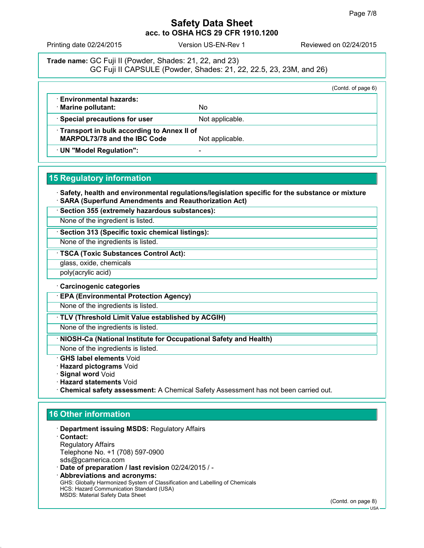Printing date 02/24/2015 Version US-EN-Rev 1 Reviewed on 02/24/2015

**Trade name:** GC Fuji II (Powder, Shades: 21, 22, and 23) GC Fuji II CAPSULE (Powder, Shades: 21, 22, 22.5, 23, 23M, and 26)

|                                            |                 | (Contd. of page 6) |
|--------------------------------------------|-----------------|--------------------|
| <b>Environmental hazards:</b>              |                 |                    |
| · Marine pollutant:                        | No              |                    |
| · Special precautions for user             | Not applicable. |                    |
| Transport in bulk according to Annex II of |                 |                    |
| <b>MARPOL73/78 and the IBC Code</b>        | Not applicable. |                    |
| · UN "Model Regulation":                   |                 |                    |

### **15 Regulatory information**

 **Safety, health and environmental regulations/legislation specific for the substance or mixture SARA (Superfund Amendments and Reauthorization Act)**

**Section 355 (extremely hazardous substances):**

None of the ingredient is listed.

**Section 313 (Specific toxic chemical listings):**

None of the ingredients is listed.

**TSCA (Toxic Substances Control Act):**

glass, oxide, chemicals

poly(acrylic acid)

#### **Carcinogenic categories**

**EPA (Environmental Protection Agency)**

None of the ingredients is listed.

**TLV (Threshold Limit Value established by ACGIH)**

None of the ingredients is listed.

**NIOSH-Ca (National Institute for Occupational Safety and Health)**

None of the ingredients is listed.

**GHS label elements** Void

- **Hazard pictograms** Void
- **Signal word** Void
- **Hazard statements** Void
- **Chemical safety assessment:** A Chemical Safety Assessment has not been carried out.

## **16 Other information**

- **Department issuing MSDS:** Regulatory Affairs
- **Contact:** Regulatory Affairs Telephone No. +1 (708) 597-0900 sds@gcamerica.com
- **Date of preparation / last revision** 02/24/2015 / -
- **Abbreviations and acronyms:** GHS: Globally Harmonized System of Classification and Labelling of Chemicals HCS: Hazard Communication Standard (USA) MSDS: Material Safety Data Sheet

(Contd. on page 8)

USA